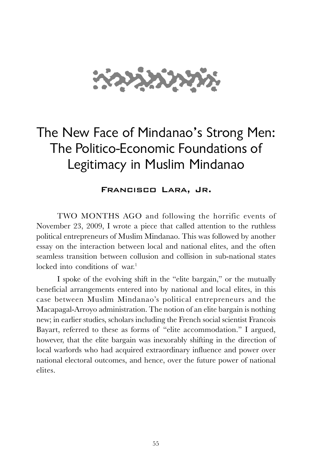

# The New Face of Mindanao's Strong Men: The Politico-Economic Foundations of Legitimacy in Muslim Mindanao

Francisco Lara, Jr.

TWO MONTHS AGO and following the horrific events of November 23, 2009, I wrote a piece that called attention to the ruthless political entrepreneurs of Muslim Mindanao. This was followed by another essay on the interaction between local and national elites, and the often seamless transition between collusion and collision in sub-national states locked into conditions of war.<sup>1</sup>

I spoke of the evolving shift in the "elite bargain," or the mutually beneficial arrangements entered into by national and local elites, in this case between Muslim Mindanao's political entrepreneurs and the Macapagal-Arroyo administration. The notion of an elite bargain is nothing new; in earlier studies, scholars including the French social scientist Francois Bayart, referred to these as forms of "elite accommodation." I argued, however, that the elite bargain was inexorably shifting in the direction of local warlords who had acquired extraordinary influence and power over national electoral outcomes, and hence, over the future power of national elites.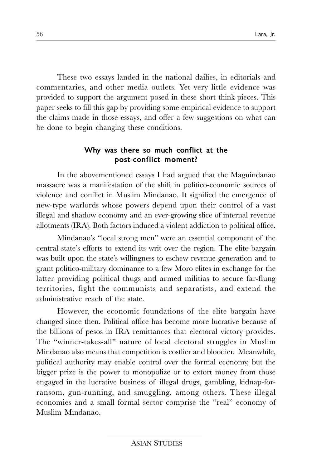These two essays landed in the national dailies, in editorials and commentaries, and other media outlets. Yet very little evidence was provided to support the argument posed in these short think-pieces. This paper seeks to fill this gap by providing some empirical evidence to support the claims made in those essays, and offer a few suggestions on what can be done to begin changing these conditions.

#### Why was there so much conflict at the post-conflict moment?

In the abovementioned essays I had argued that the Maguindanao massacre was a manifestation of the shift in politico-economic sources of violence and conflict in Muslim Mindanao. It signified the emergence of new-type warlords whose powers depend upon their control of a vast illegal and shadow economy and an ever-growing slice of internal revenue allotments (IRA). Both factors induced a violent addiction to political office.

Mindanao's "local strong men" were an essential component of the central state's efforts to extend its writ over the region. The elite bargain was built upon the state's willingness to eschew revenue generation and to grant politico-military dominance to a few Moro elites in exchange for the latter providing political thugs and armed militias to secure far-flung territories, fight the communists and separatists, and extend the administrative reach of the state.

However, the economic foundations of the elite bargain have changed since then. Political office has become more lucrative because of the billions of pesos in IRA remittances that electoral victory provides. The "winner-takes-all" nature of local electoral struggles in Muslim Mindanao also means that competition is costlier and bloodier. Meanwhile, political authority may enable control over the formal economy, but the bigger prize is the power to monopolize or to extort money from those engaged in the lucrative business of illegal drugs, gambling, kidnap-forransom, gun-running, and smuggling, among others. These illegal economies and a small formal sector comprise the "real" economy of Muslim Mindanao.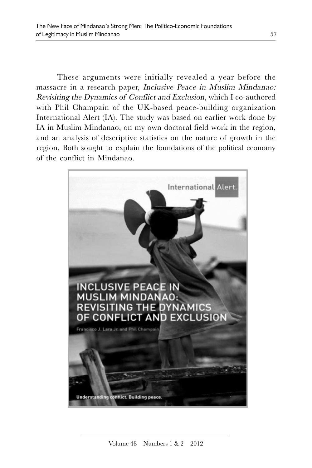These arguments were initially revealed a year before the massacre in a research paper, Inclusive Peace in Muslim Mindanao: Revisiting the Dynamics of Conflict and Exclusion, which I co-authored with Phil Champain of the UK-based peace-building organization International Alert (IA). The study was based on earlier work done by IA in Muslim Mindanao, on my own doctoral field work in the region, and an analysis of descriptive statistics on the nature of growth in the region. Both sought to explain the foundations of the political economy of the conflict in Mindanao.

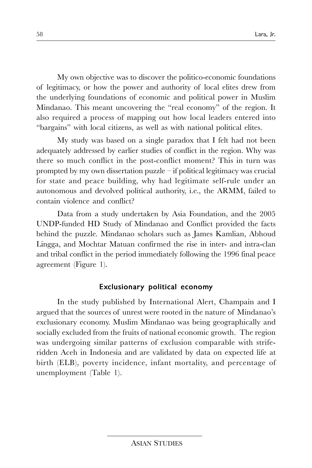My own objective was to discover the politico-economic foundations of legitimacy, or how the power and authority of local elites drew from the underlying foundations of economic and political power in Muslim Mindanao. This meant uncovering the "real economy" of the region. It also required a process of mapping out how local leaders entered into "bargains" with local citizens, as well as with national political elites.

My study was based on a single paradox that I felt had not been adequately addressed by earlier studies of conflict in the region. Why was there so much conflict in the post-conflict moment? This in turn was prompted by my own dissertation puzzle – if political legitimacy was crucial for state and peace building, why had legitimate self-rule under an autonomous and devolved political authority, i.e., the ARMM, failed to contain violence and conflict?

Data from a study undertaken by Asia Foundation, and the 2005 UNDP-funded HD Study of Mindanao and Conflict provided the facts behind the puzzle. Mindanao scholars such as James Kamlian, Abhoud Lingga, and Mochtar Matuan confirmed the rise in inter- and intra-clan and tribal conflict in the period immediately following the 1996 final peace agreement (Figure 1).

#### Exclusionary political economy

In the study published by International Alert, Champain and I argued that the sources of unrest were rooted in the nature of Mindanao's exclusionary economy. Muslim Mindanao was being geographically and socially excluded from the fruits of national economic growth. The region was undergoing similar patterns of exclusion comparable with striferidden Aceh in Indonesia and are validated by data on expected life at birth (ELB), poverty incidence, infant mortality, and percentage of unemployment (Table 1).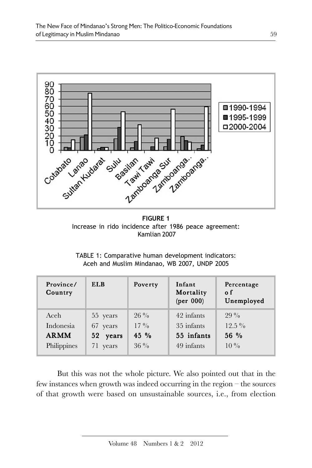

**FIGURE 1** Increase in rido incidence after 1986 peace agreement: Kamlian 2007

TABLE 1: Comparative human development indicators: Aceh and Muslim Mindanao, WB 2007, UNDP 2005

| Province/<br>Country | ELB      | Poverty         | Infant<br>Mortality<br>$(\text{per } 000)$ | Percentage<br>o f<br>Unemployed |
|----------------------|----------|-----------------|--------------------------------------------|---------------------------------|
| Aceh                 | 55 years | $26\%$          | 42 infants                                 | $99\%$                          |
| Indonesia            | 67 years | $17\frac{0}{0}$ | 35 infants                                 | $12.5\%$                        |
| <b>ARMM</b>          | 52 years | $45\%$          | 55 infants                                 | $56\%$                          |
| Philippines          | 71 years | $36\%$          | 49 infants                                 | $10\%$                          |

But this was not the whole picture. We also pointed out that in the few instances when growth was indeed occurring in the region – the sources of that growth were based on unsustainable sources, i.e., from election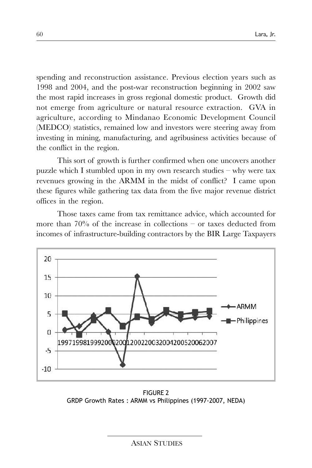spending and reconstruction assistance. Previous election years such as 1998 and 2004, and the post-war reconstruction beginning in 2002 saw the most rapid increases in gross regional domestic product. Growth did not emerge from agriculture or natural resource extraction. GVA in agriculture, according to Mindanao Economic Development Council (MEDCO) statistics, remained low and investors were steering away from investing in mining, manufacturing, and agribusiness activities because of the conflict in the region.

This sort of growth is further confirmed when one uncovers another puzzle which I stumbled upon in my own research studies – why were tax revenues growing in the ARMM in the midst of conflict? I came upon these figures while gathering tax data from the five major revenue district offices in the region.

Those taxes came from tax remittance advice, which accounted for more than 70% of the increase in collections – or taxes deducted from incomes of infrastructure-building contractors by the BIR Large Taxpayers



FIGURE 2 GRDP Growth Rates : ARMM vs Philippines (1997-2007, NEDA)

ASIAN STUDIES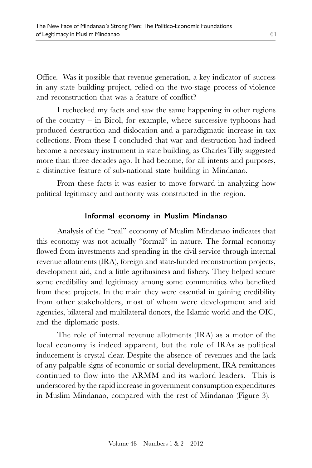Office. Was it possible that revenue generation, a key indicator of success in any state building project, relied on the two-stage process of violence and reconstruction that was a feature of conflict?

I rechecked my facts and saw the same happening in other regions of the country – in Bicol, for example, where successive typhoons had produced destruction and dislocation and a paradigmatic increase in tax collections. From these I concluded that war and destruction had indeed become a necessary instrument in state building, as Charles Tilly suggested more than three decades ago. It had become, for all intents and purposes, a distinctive feature of sub-national state building in Mindanao.

From these facts it was easier to move forward in analyzing how political legitimacy and authority was constructed in the region.

### Informal economy in Muslim Mindanao

Analysis of the "real" economy of Muslim Mindanao indicates that this economy was not actually "formal" in nature. The formal economy flowed from investments and spending in the civil service through internal revenue allotments (IRA), foreign and state-funded reconstruction projects, development aid, and a little agribusiness and fishery. They helped secure some credibility and legitimacy among some communities who benefited from these projects. In the main they were essential in gaining credibility from other stakeholders, most of whom were development and aid agencies, bilateral and multilateral donors, the Islamic world and the OIC, and the diplomatic posts.

The role of internal revenue allotments (IRA) as a motor of the local economy is indeed apparent, but the role of IRAs as political inducement is crystal clear. Despite the absence of revenues and the lack of any palpable signs of economic or social development, IRA remittances continued to flow into the ARMM and its warlord leaders. This is underscored by the rapid increase in government consumption expenditures in Muslim Mindanao, compared with the rest of Mindanao (Figure 3).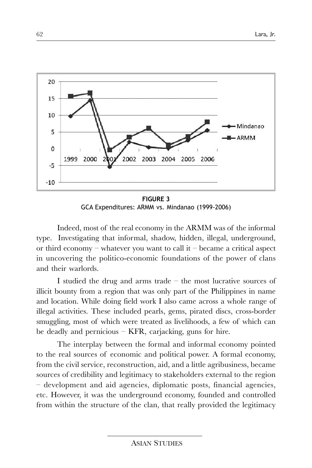

**FIGURE 3** GCA Expenditures: ARMM vs. Mindanao (1999-2006)

Indeed, most of the real economy in the ARMM was of the informal type. Investigating that informal, shadow, hidden, illegal, underground, or third economy – whatever you want to call it – became a critical aspect in uncovering the politico-economic foundations of the power of clans and their warlords.

I studied the drug and arms trade – the most lucrative sources of illicit bounty from a region that was only part of the Philippines in name and location. While doing field work I also came across a whole range of illegal activities. These included pearls, gems, pirated discs, cross-border smuggling, most of which were treated as livelihoods, a few of which can be deadly and pernicious – KFR, carjacking, guns for hire.

The interplay between the formal and informal economy pointed to the real sources of economic and political power. A formal economy, from the civil service, reconstruction, aid, and a little agribusiness, became sources of credibility and legitimacy to stakeholders external to the region – development and aid agencies, diplomatic posts, financial agencies, etc. However, it was the underground economy, founded and controlled from within the structure of the clan, that really provided the legitimacy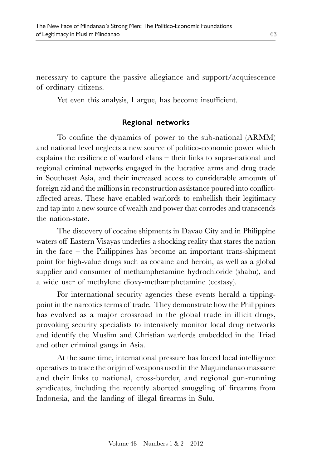necessary to capture the passive allegiance and support/acquiescence of ordinary citizens.

Yet even this analysis, I argue, has become insufficient.

## Regional networks

To confine the dynamics of power to the sub-national (ARMM) and national level neglects a new source of politico-economic power which explains the resilience of warlord clans – their links to supra-national and regional criminal networks engaged in the lucrative arms and drug trade in Southeast Asia, and their increased access to considerable amounts of foreign aid and the millions in reconstruction assistance poured into conflictaffected areas. These have enabled warlords to embellish their legitimacy and tap into a new source of wealth and power that corrodes and transcends the nation-state.

The discovery of cocaine shipments in Davao City and in Philippine waters off Eastern Visayas underlies a shocking reality that stares the nation in the face – the Philippines has become an important trans-shipment point for high-value drugs such as cocaine and heroin, as well as a global supplier and consumer of methamphetamine hydrochloride (shabu), and a wide user of methylene dioxy-methamphetamine (ecstasy).

For international security agencies these events herald a tippingpoint in the narcotics terms of trade. They demonstrate how the Philippines has evolved as a major crossroad in the global trade in illicit drugs, provoking security specialists to intensively monitor local drug networks and identify the Muslim and Christian warlords embedded in the Triad and other criminal gangs in Asia.

At the same time, international pressure has forced local intelligence operatives to trace the origin of weapons used in the Maguindanao massacre and their links to national, cross-border, and regional gun-running syndicates, including the recently aborted smuggling of firearms from Indonesia, and the landing of illegal firearms in Sulu.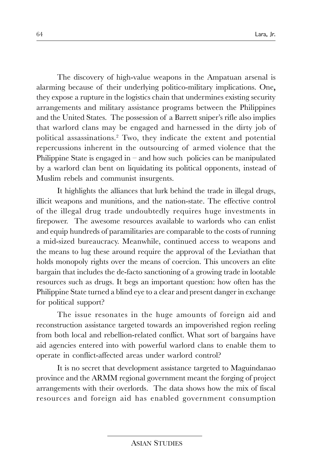The discovery of high-value weapons in the Ampatuan arsenal is alarming because of their underlying politico-military implications. One, they expose a rupture in the logistics chain that undermines existing security arrangements and military assistance programs between the Philippines and the United States. The possession of a Barrett sniper's rifle also implies that warlord clans may be engaged and harnessed in the dirty job of political assassinations. 2 Two, they indicate the extent and potential repercussions inherent in the outsourcing of armed violence that the Philippine State is engaged in – and how such policies can be manipulated by a warlord clan bent on liquidating its political opponents, instead of Muslim rebels and communist insurgents.

It highlights the alliances that lurk behind the trade in illegal drugs, illicit weapons and munitions, and the nation-state. The effective control of the illegal drug trade undoubtedly requires huge investments in firepower. The awesome resources available to warlords who can enlist and equip hundreds of paramilitaries are comparable to the costs of running a mid-sized bureaucracy. Meanwhile, continued access to weapons and the means to lug these around require the approval of the Leviathan that holds monopoly rights over the means of coercion. This uncovers an elite bargain that includes the de-facto sanctioning of a growing trade in lootable resources such as drugs. It begs an important question: how often has the Philippine State turned a blind eye to a clear and present danger in exchange for political support?

The issue resonates in the huge amounts of foreign aid and reconstruction assistance targeted towards an impoverished region reeling from both local and rebellion-related conflict. What sort of bargains have aid agencies entered into with powerful warlord clans to enable them to operate in conflict-affected areas under warlord control?

It is no secret that development assistance targeted to Maguindanao province and the ARMM regional government meant the forging of project arrangements with their overlords. The data shows how the mix of fiscal resources and foreign aid has enabled government consumption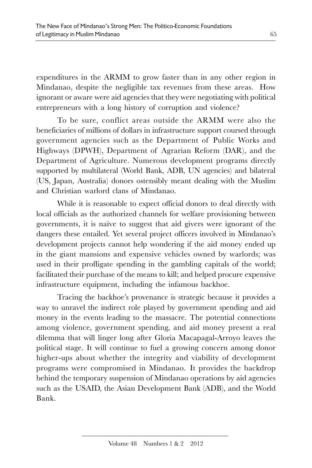expenditures in the ARMM to grow faster than in any other region in Mindanao, despite the negligible tax revenues from these areas. How ignorant or aware were aid agencies that they were negotiating with political entrepreneurs with a long history of corruption and violence?

To be sure, conflict areas outside the ARMM were also the beneficiaries of millions of dollars in infrastructure support coursed through government agencies such as the Department of Public Works and Highways (DPWH), Department of Agrarian Reform (DAR), and the Department of Agriculture. Numerous development programs directly supported by multilateral (World Bank, ADB, UN agencies) and bilateral (US, Japan, Australia) donors ostensibly meant dealing with the Muslim and Christian warlord clans of Mindanao.

While it is reasonable to expect official donors to deal directly with local officials as the authorized channels for welfare provisioning between governments, it is naïve to suggest that aid givers were ignorant of the dangers these entailed. Yet several project officers involved in Mindanao's development projects cannot help wondering if the aid money ended up in the giant mansions and expensive vehicles owned by warlords; was used in their profligate spending in the gambling capitals of the world; facilitated their purchase of the means to kill; and helped procure expensive infrastructure equipment, including the infamous backhoe.

Tracing the backhoe's provenance is strategic because it provides a way to unravel the indirect role played by government spending and aid money in the events leading to the massacre. The potential connections among violence, government spending, and aid money present a real dilemma that will linger long after Gloria Macapagal-Arroyo leaves the political stage. It will continue to fuel a growing concern among donor higher-ups about whether the integrity and viability of development programs were compromised in Mindanao. It provides the backdrop behind the temporary suspension of Mindanao operations by aid agencies such as the USAID, the Asian Development Bank (ADB), and the World Bank.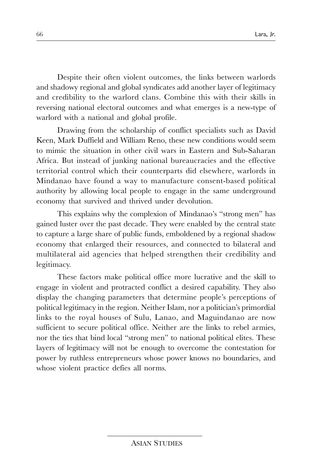Despite their often violent outcomes, the links between warlords and shadowy regional and global syndicates add another layer of legitimacy and credibility to the warlord clans. Combine this with their skills in reversing national electoral outcomes and what emerges is a new-type of warlord with a national and global profile.

Drawing from the scholarship of conflict specialists such as David Keen, Mark Duffield and William Reno, these new conditions would seem to mimic the situation in other civil wars in Eastern and Sub-Saharan Africa. But instead of junking national bureaucracies and the effective territorial control which their counterparts did elsewhere, warlords in Mindanao have found a way to manufacture consent-based political authority by allowing local people to engage in the same underground economy that survived and thrived under devolution.

This explains why the complexion of Mindanao's "strong men" has gained luster over the past decade. They were enabled by the central state to capture a large share of public funds, emboldened by a regional shadow economy that enlarged their resources, and connected to bilateral and multilateral aid agencies that helped strengthen their credibility and legitimacy.

These factors make political office more lucrative and the skill to engage in violent and protracted conflict a desired capability. They also display the changing parameters that determine people's perceptions of political legitimacy in the region. Neither Islam, nor a politician's primordial links to the royal houses of Sulu, Lanao, and Maguindanao are now sufficient to secure political office. Neither are the links to rebel armies, nor the ties that bind local "strong men" to national political elites. These layers of legitimacy will not be enough to overcome the contestation for power by ruthless entrepreneurs whose power knows no boundaries, and whose violent practice defies all norms.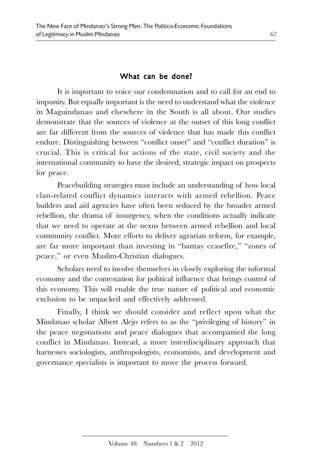#### What can be done?

It is important to voice our condemnation and to call for an end to impunity. But equally important is the need to understand what the violence in Maguindanao and elsewhere in the South is all about. Our studies demonstrate that the sources of violence at the outset of this long conflict are far different from the sources of violence that has made this conflict endure. Distinguishing between "conflict onset" and "conflict duration" is crucial. This is critical for actions of the state, civil society and the international community to have the desired, strategic impact on prospects for peace.

Peacebuilding strategies must include an understanding of how local clan-related conflict dynamics interacts with armed rebellion. Peace builders and aid agencies have often been seduced by the broader armed rebellion, the drama of insurgency, when the conditions actually indicate that we need to operate at the nexus between armed rebellion and local community conflict. More efforts to deliver agrarian reform, for example, are far more important than investing in "bantay ceasefire," "zones of peace," or even Muslim-Christian dialogues.

Scholars need to involve themselves in closely exploring the informal economy and the contestation for political influence that brings control of this economy. This will enable the true nature of political and economic exclusion to be unpacked and effectively addressed.

Finally, I think we should consider and reflect upon what the Mindanao scholar Albert Alejo refers to as the "privileging of history" in the peace negotiations and peace dialogues that accompanied the long conflict in Mindanao. Instead, a more interdisciplinary approach that harnesses sociologists, anthropologists, economists, and development and governance specialists is important to move the process forward.